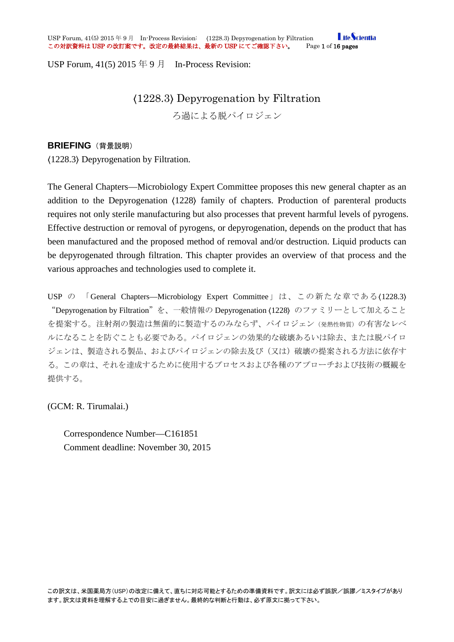**I** ifeScientia USP Forum, 41(5) 2015 年 9 月 In-Process Revision: (1228.3) Depyrogenation by Filtration **Life of** the Secure 2003<br>この対訳資料は USP の改訂案です。改定の最終結果は、最新の USP にてご確認下さい。 Page 1 of 16 pages この対訳資料は USP の改訂案です。改定の最終結果は、最新の USP にてご確認下さい。

USP Forum,  $41(5)$  2015  $\oplus$  9  $\uparrow$  In-Process Revision:

# 〈1228.3〉 Depyrogenation by Filtration

ろ過による脱パイロジェン

### **BRIEFING** (背景説明)

〈1228.3〉 Depyrogenation by Filtration.

The General Chapters—Microbiology Expert Committee proposes this new general chapter as an addition to the Depyrogenation 〈1228〉 family of chapters. Production of parenteral products requires not only sterile manufacturing but also processes that prevent harmful levels of pyrogens. Effective destruction or removal of pyrogens, or depyrogenation, depends on the product that has been manufactured and the proposed method of removal and/or destruction. Liquid products can be depyrogenated through filtration. This chapter provides an overview of that process and the various approaches and technologies used to complete it.

USP の 「General Chapters—Microbiology Expert Committee」は、この新たな章である(1228.3) "Depyrogenation by Filtration"を、一般情報の Depyrogenation 〈1228〉 のファミリーとして加えること を提案する。注射剤の製造は無菌的に製造するのみならず、パイロジェン(発熱性物質)の有害なレベ ルになることを防ぐことも必要である。パイロジェンの効果的な破壊あるいは除去、または脱パイロ ジェンは、製造される製品、およびパイロジェンの除去及び(又は)破壊の提案される方法に依存す る。この章は、それを達成するために使用するプロセスおよび各種のアプローチおよび技術の概観を 提供する。

(GCM: R. Tirumalai.)

Correspondence Number—C161851 Comment deadline: November 30, 2015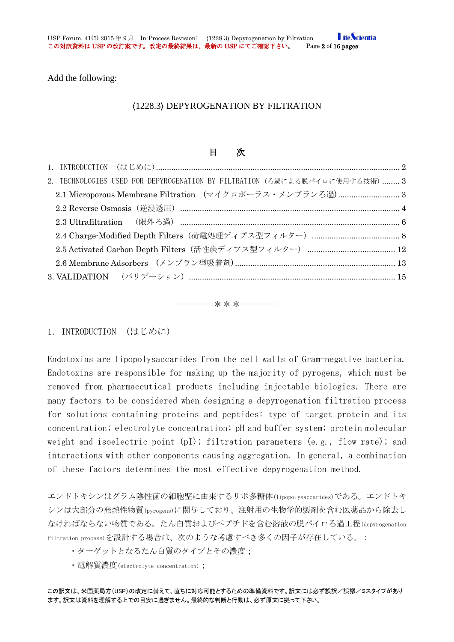Add the following:

### 〈1228.3〉 DEPYROGENATION BY FILTRATION

## 目 次

| 2. TECHNOLOGIES USED FOR DEPYROGENATION BY FILTRATION (ろ過による脱パイロに使用する技術)  3 |  |
|-----------------------------------------------------------------------------|--|
|                                                                             |  |
|                                                                             |  |
|                                                                             |  |
|                                                                             |  |
|                                                                             |  |
|                                                                             |  |
|                                                                             |  |

――――\*\*\*――――

### <span id="page-1-0"></span>1. INTRODUCTION (はじめに)

Endotoxins are lipopolysaccarides from the cell walls of Gram-negative bacteria. Endotoxins are responsible for making up the majority of pyrogens, which must be removed from pharmaceutical products including injectable biologics. There are many factors to be considered when designing a depyrogenation filtration process for solutions containing proteins and peptides: type of target protein and its concentration; electrolyte concentration; pH and buffer system; protein molecular weight and isoelectric point (pI); filtration parameters (e.g., flow rate); and interactions with other components causing aggregation. In general, a combination of these factors determines the most effective depyrogenation method.

エンドトキシンはグラム陰性菌の細胞壁に由来するリポ多糖体(lipopolysaccarides)である。エンドトキ シンは大部分の発熱性物質(pyrogens)に関与しており、注射用の生物学的製剤を含む医薬品から除去し なければならない物質である。たん白質およびペプチドを含む溶液の脱パイロろ過工程(depyrogenation filtration process)を設計する場合は、次のような考慮すべき多くの因子が存在している。:

- ・ターゲットとなるたん白質のタイプとその濃度;
- ・電解質濃度(electrolyte concentration);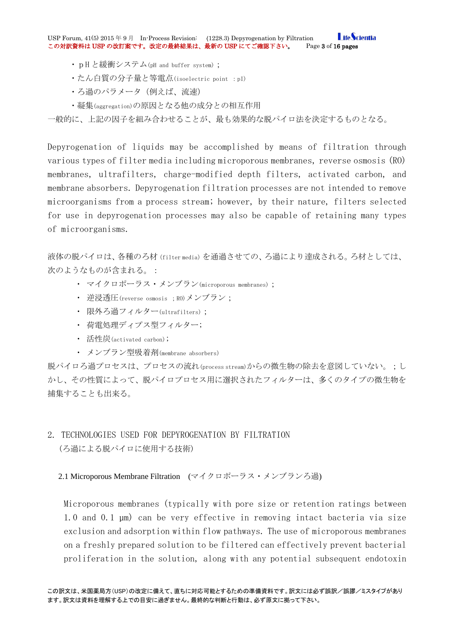**I** ifeScientia USP Forum, 41(5) 2015 年 9 月 In-Process Revision: (1228.3) Depyrogenation by Filtration Life of Life of Life o<br>この対訳資料は USP の改訂案です。改定の最終結果は、最新の USP にてご確認下さい。 Page 3 of 16 pages この対訳資料は USP の改訂案です。改定の最終結果は、最新の USP にてご確認下さい。

- ・pH と緩衝システム(pH and buffer system);
- ・たん白質の分子量と等電点(isoelectric point :pI)
- ・ろ過のパラメータ(例えば、流速)
- ・凝集(aggregation)の原因となる他の成分との相互作用

一般的に、上記の因子を組み合わせることが、最も効果的な脱パイロ法を決定するものとなる。

Depyrogenation of liquids may be accomplished by means of filtration through various types of filter media including microporous membranes, reverse osmosis (RO) membranes, ultrafilters, charge-modified depth filters, activated carbon, and membrane absorbers. Depyrogenation filtration processes are not intended to remove microorganisms from a process stream; however, by their nature, filters selected for use in depyrogenation processes may also be capable of retaining many types of microorganisms.

液体の脱パイロは、各種のろ材(filter media)を通過させての、ろ過により達成される。ろ材としては、 次のようなものが含まれる。:

- ・ マイクロポーラス・メンブラン(microporous membranes);
- 逆浸透圧(reverse osmosis ; RO)メンブラン;
- ・ 限外ろ過フィルター(ultrafilters);
- ・ 荷電処理ディプス型フィルター;
- ・ 活性炭(activated carbon);
- ・ メンブラン型吸着剤(membrane absorbers)

脱パイロろ過プロセスは、プロセスの流れ(process stream)からの微生物の除去を意図していない。;し かし、その性質によって、脱パイロプロセス用に選択されたフィルターは、多くのタイプの微生物を 捕集することも出来る。

<span id="page-2-0"></span>2. TECHNOLOGIES USED FOR DEPYROGENATION BY FILTRATION (ろ過による脱パイロに使用する技術)

<span id="page-2-1"></span>2.1 Microporous Membrane Filtration (マイクロポーラス・メンブランろ過)

Microporous membranes (typically with pore size or retention ratings between 1.0 and 0.1 µm) can be very effective in removing intact bacteria via size exclusion and adsorption within flow pathways. The use of microporous membranes on a freshly prepared solution to be filtered can effectively prevent bacterial proliferation in the solution, along with any potential subsequent endotoxin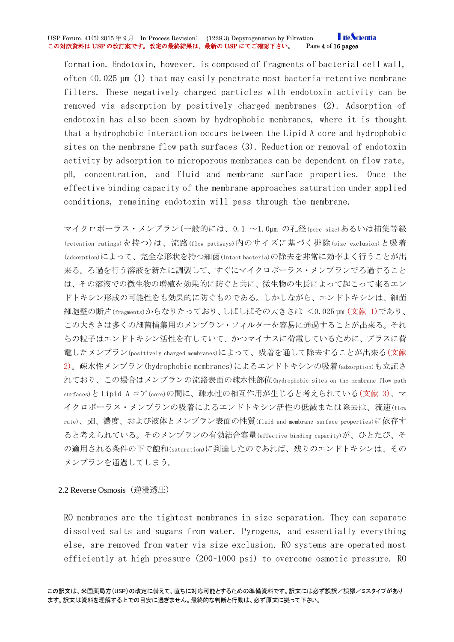#### **LifeScientia** USP Forum, 41(5) 2015 年 9 月 In-Process Revision: (1228.3) Depyrogenation by Filtration Life of Life of Life of<br>この対訳資料は USP の改訂案です。改定の最終結果は、最新の USP にてご確認下さい。 Page 4 of 16 pages この対訳資料は USP の改訂案です。改定の最終結果は、最新の USP にてご確認下さい。

formation. Endotoxin, however, is composed of fragments of bacterial cell wall, often  $\langle 0.025 \mu m (1)$  that may easily penetrate most bacteria-retentive membrane filters. These negatively charged particles with endotoxin activity can be removed via adsorption by positively charged membranes (2). Adsorption of endotoxin has also been shown by hydrophobic membranes, where it is thought that a hydrophobic interaction occurs between the Lipid A core and hydrophobic sites on the membrane flow path surfaces (3). Reduction or removal of endotoxin activity by adsorption to microporous membranes can be dependent on flow rate, pH, concentration, and fluid and membrane surface properties. Once the effective binding capacity of the membrane approaches saturation under applied conditions, remaining endotoxin will pass through the membrane.

マイクロポーラス・メンブラン(一般的には、0.1 ~1.0µm の孔径(pore size)あるいは捕集等級 (retention ratings)を持つ)は、流路(flow pathways)内のサイズに基づく排除(size exclusion)と吸着 (adsorption)によって、完全な形状を持つ細菌(intact bacteria)の除去を非常に効率よく行うことが出 来る。ろ過を行う溶液を新たに調製して、すぐにマイクロポーラス・メンブランでろ過すること は、その溶液での微生物の増殖を効果的に防ぐと共に、微生物の生長によって起こって来るエン ドトキシン形成の可能性をも効果的に防ぐものである。しかしながら、エンドトキシンは、細菌 細胞壁の断片(fragments)からなりたっており、しばしばその大きさは <0.025 µm (文献 1)であり、 この大きさは多くの細菌捕集用のメンブラン・フィルターを容易に通過することが出来る。それ らの粒子はエンドトキシン活性を有していて、かつマイナスに荷電しているために、プラスに荷 電したメンブラン(positively charged membranes)によって、吸着を通して除去することが出来る(文献 2)。疎水性メンブラン(hydrophobic membranes)によるエンドトキシンの吸着(adsorption)も立証さ れており、この場合はメンブランの流路表面の疎水性部位(hydrophobic sites on the membrane flow path surfaces)と Lipid A コア(core)の間に、疎水性の相互作用が生じると考えられている(文献 3)。マ イクロポーラス・メンブランの吸着によるエンドトキシン活性の低減または除去は、流速(flow rate)、pH、濃度、および液体とメンブラン表面の性質(fluid and membrane surface properties)に依存す ると考えられている。そのメンブランの有効結合容量(effective binding capacity)が、ひとたび、そ の適用される条件の下で飽和(saturation)に到達したのであれば、残りのエンドトキシンは、その メンブランを通過してしまう。

<span id="page-3-0"></span>2.2 Reverse Osmosis(逆浸透圧)

RO membranes are the tightest membranes in size separation. They can separate dissolved salts and sugars from water. Pyrogens, and essentially everything else, are removed from water via size exclusion. RO systems are operated most efficiently at high pressure (200–1000 psi) to overcome osmotic pressure. RO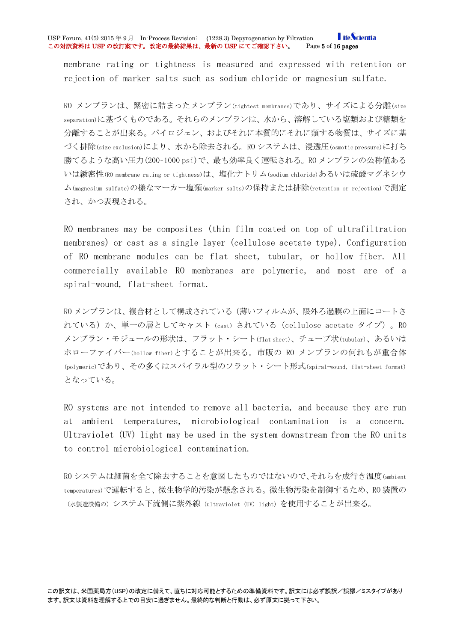#### **LifeScientia** USP Forum, 41(5) 2015 年 9 月 In-Process Revision: (1228.3) Depyrogenation by Filtration Life of Life of Life of<br>この対訳資料は USP の改訂案です。改定の最終結果は、最新の USP にてご確認下さい。 Page 5 of 16 pages この対訳資料は USP の改訂案です。改定の最終結果は、最新の USP にてご確認下さい。

membrane rating or tightness is measured and expressed with retention or rejection of marker salts such as sodium chloride or magnesium sulfate.

RO メンブランは、緊密に詰まったメンブラン(tightest membranes)であり、サイズによる分離(size separation)に基づくものである。それらのメンブランは、水から、溶解している塩類および糖類を 分離することが出来る。パイロジェン、およびそれに本質的にそれに類する物質は、サイズに基 づく排除(size exclusion)により、水から除去される。RO システムは、浸透圧(osmotic pressure)に打ち 勝てるような高い圧力(200–1000 psi)で、最も効率良く運転される。RO メンブランの公称値ある いは緻密性(RO membrane rating or tightness)は、塩化ナトリム(sodium chloride)あるいは硫酸マグネシウ ム(magnesium sulfate)の様なマーカー塩類(marker salts)の保持または排除(retention or rejection)で測定 され、かつ表現される。

RO membranes may be composites (thin film coated on top of ultrafiltration membranes) or cast as a single layer (cellulose acetate type). Configuration of RO membrane modules can be flat sheet, tubular, or hollow fiber. All commercially available RO membranes are polymeric, and most are of a spiral-wound, flat-sheet format.

RO メンブランは、複合材として構成されている(薄いフィルムが、限外ろ過膜の上面にコートさ れている)か、単一の層としてキャスト (cast)されている (cellulose acetate タイプ)。RO メンブラン・モジュールの形状は、フラット・シート(flat sheet)、チューブ状(tubular)、あるいは ホローファイバー(hollow fiber)とすることが出来る。市販の RO メンブランの何れもが重合体 (polymeric)であり、その多くはスパイラル型のフラット・シート形式(spiral-wound, flat-sheet format) となっている。

RO systems are not intended to remove all bacteria, and because they are run at ambient temperatures, microbiological contamination is a concern. Ultraviolet (UV) light may be used in the system downstream from the RO units to control microbiological contamination.

RO システムは細菌を全て除去することを意図したものではないので、それらを成行き温度(ambient temperatures)で運転すると、微生物学的汚染が懸念される。微生物汚染を制御するため、RO 装置の (水製造設備の)システム下流側に紫外線(ultraviolet (UV) light)を使用することが出来る。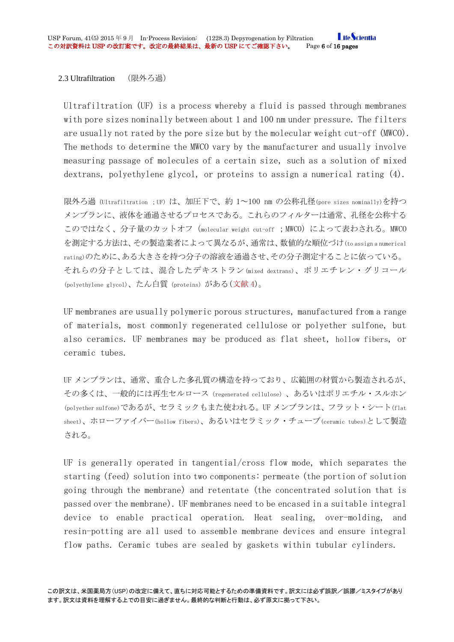<span id="page-5-0"></span>2.3 Ultrafiltration (限外ろ過)

Ultrafiltration (UF) is a process whereby a fluid is passed through membranes with pore sizes nominally between about 1 and 100 nm under pressure. The filters are usually not rated by the pore size but by the molecular weight cut-off (MWCO). The methods to determine the MWCO vary by the manufacturer and usually involve measuring passage of molecules of a certain size, such as a solution of mixed dextrans, polyethylene glycol, or proteins to assign a numerical rating (4).

限外ろ過 (Ultrafiltration ;UF) は、加圧下で、約 1~100 nm の公称孔径(pore sizes nominally)を持つ メンブランに、液体を通過させるプロセスである。これらのフィルターは通常、孔径を公称する このではなく、分子量のカットオフ(molecular weight cut-off ;MWCO)によって表わされる。MWCO を測定する方法は、その製造業者によって異なるが、通常は、数値的な順位づけ(to assign a numerical rating)のために、ある大きさを持つ分子の溶液を通過させ、その分子測定することに依っている。 それらの分子としては、混合したデキストラン(mixed dextrans)、ポリエチレン・グリコール (polyethylene glycol)、たん白質(proteins)がある(文献 4)。

UF membranes are usually polymeric porous structures, manufactured from a range of materials, most commonly regenerated cellulose or polyether sulfone, but also ceramics. UF membranes may be produced as flat sheet, hollow fibers, or ceramic tubes.

UF メンブランは、通常、重合した多孔質の構造を持っており、広範囲の材質から製造されるが、 その多くは、一般的には再生セルロース(regenerated cellulose)、あるいはポリエチル・スルホン (polyether sulfone)であるが、セラミックもまた使われる。UF メンブランは、フラット・シート(flat sheet)、ホローファイバー(hollow fibers)、あるいはセラミック・チューブ(ceramic tubes)として製造 される。

UF is generally operated in tangential/cross flow mode, which separates the starting (feed) solution into two components: permeate (the portion of solution going through the membrane) and retentate (the concentrated solution that is passed over the membrane). UF membranes need to be encased in a suitable integral device to enable practical operation. Heat sealing, over-molding, and resin-potting are all used to assemble membrane devices and ensure integral flow paths. Ceramic tubes are sealed by gaskets within tubular cylinders.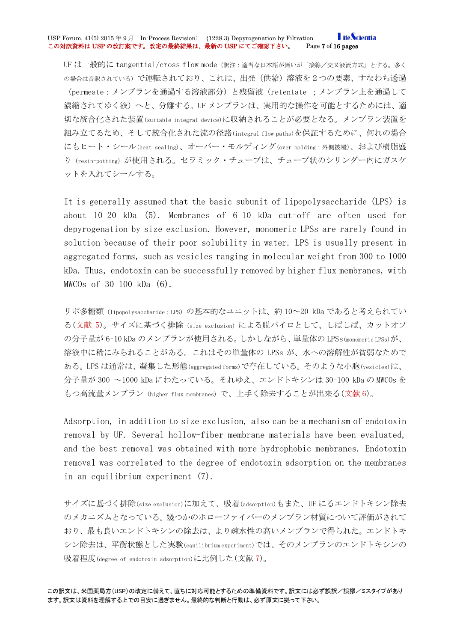#### **LifeScientia** USP Forum, 41(5) 2015 年 9 月 In-Process Revision: (1228.3) Depyrogenation by Filtration **Life of** the Secure 2003<br>この対訳資料は USP の改訂案です。改定の最終結果は、最新の USP にてご確認下さい。 Page 7 of 16 pages この対訳資料は USP の改訂案です。改定の最終結果は、最新の USP にてご確認下さい。

UF は一般的に tangential/cross flow mode(訳注:適当な日本語が無いが「接線/交叉液流方式」とする。多く の場合は音訳されている)で運転されており、これは、出発(供給)溶液を2つの要素、すなわち透過 (permeate:メンブランを通過する溶液部分)と残留液(retentate ;メンブラン上を通過して 濃縮されてゆく液)へと、分離する。UF メンブランは、実用的な操作を可能とするためには、適 切な統合化された装置(suitable integral device)に収納されることが必要となる。メンブラン装置を 組み立てるため、そして統合化された流の径路(integral flow paths)を保証するために、何れの場合 にもヒート・シール(heat sealing)、オーバー・モルディング(over-molding:外側被覆)、および樹脂盛 り (resin-potting) が使用される。セラミック・チューブは、チューブ状のシリンダー内にガスケ ットを入れてシールする。

It is generally assumed that the basic subunit of lipopolysaccharide (LPS) is about 10–20 kDa (5). Membranes of 6–10 kDa cut-off are often used for depyrogenation by size exclusion. However, monomeric LPSs are rarely found in solution because of their poor solubility in water. LPS is usually present in aggregated forms, such as vesicles ranging in molecular weight from 300 to 1000 kDa. Thus, endotoxin can be successfully removed by higher flux membranes, with MWCOs of 30–100 kDa (6).

リポ多糖類(lipopolysaccharide;LPS)の基本的なユニットは、約 10~20 kDa であると考えられてい る(文献 5)。サイズに基づく排除(size exclusion)による脱パイロとして、しばしば、カットオフ の分子量が 6–10 kDa のメンブランが使用される。しかしながら、単量体の LPSs(monomeric LPSs)が、 溶液中に稀にみられることがある。これはその単量体の LPSs が、水への溶解性が貧弱なためで ある。LPS は通常は、凝集した形態(aggregated forms)で存在している。そのような小胞(vesicles)は、 分子量が 300 ~1000 kDa にわたっている。それゆえ、エンドトキシンは 30–100 kDa の MWCOs を もつ高流量メンブラン (higher flux membranes) で、上手く除去することが出来る(文献 6)。

Adsorption, in addition to size exclusion, also can be a mechanism of endotoxin removal by UF. Several hollow-fiber membrane materials have been evaluated, and the best removal was obtained with more hydrophobic membranes. Endotoxin removal was correlated to the degree of endotoxin adsorption on the membranes in an equilibrium experiment (7).

サイズに基づく排除(size exclusion)に加えて、吸着(adsorption)もまた、UF にるエンドトキシン除去 のメカニズムとなっている。幾つかのホローファイバーのメンブラン材質について評価がされて おり、最も良いエンドトキシンの除去は、より疎水性の高いメンブランで得られた。エンドトキ シン除去は、平衡状態とした実験(equilibrium experiment)では、そのメンブランのエンドトキシンの 吸着程度(degree of endotoxin adsorption)に比例した(文献 7)。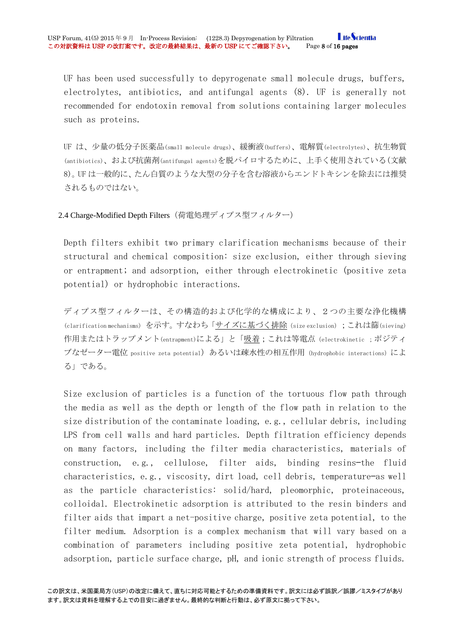UF has been used successfully to depyrogenate small molecule drugs, buffers, electrolytes, antibiotics, and antifungal agents (8). UF is generally not recommended for endotoxin removal from solutions containing larger molecules such as proteins.

UF は、少量の低分子医薬品(small molecule drugs)、緩衝液(buffers)、電解質(electrolytes)、抗生物質 (antibiotics)、および抗菌剤(antifungal agents)を脱パイロするために、上手く使用されている(文献 8)。UF は一般的に、たん白質のような大型の分子を含む溶液からエンドトキシンを除去には推奨 されるものではない。

<span id="page-7-0"></span>2.4 Charge-Modified Depth Filters(荷電処理ディプス型フィルター)

Depth filters exhibit two primary clarification mechanisms because of their structural and chemical composition: size exclusion, either through sieving or entrapment; and adsorption, either through electrokinetic (positive zeta potential) or hydrophobic interactions.

ディプス型フィルターは、その構造的および化学的な構成により、2つの主要な浄化機構 (clarification mechanisms) を示す。すなわち「サイズに基づく排除(size exclusion);これは篩(sieving) 作用またはトラップメント(entrapment)による」と「吸着;これは等電点(electrokinetic;ポジティ ブなゼーター電位 positive zeta potential) あるいは疎水性の相互作用 (hydrophobic interactions)によ る」である。

Size exclusion of particles is a function of the tortuous flow path through the media as well as the depth or length of the flow path in relation to the size distribution of the contaminate loading, e.g., cellular debris, including LPS from cell walls and hard particles. Depth filtration efficiency depends on many factors, including the filter media characteristics, materials of construction, e.g., cellulose, filter aids, binding resins—the fluid characteristics, e.g., viscosity, dirt load, cell debris, temperature—as well as the particle characteristics: solid/hard, pleomorphic, proteinaceous, colloidal. Electrokinetic adsorption is attributed to the resin binders and filter aids that impart a net-positive charge, positive zeta potential, to the filter medium. Adsorption is a complex mechanism that will vary based on a combination of parameters including positive zeta potential, hydrophobic adsorption, particle surface charge, pH, and ionic strength of process fluids.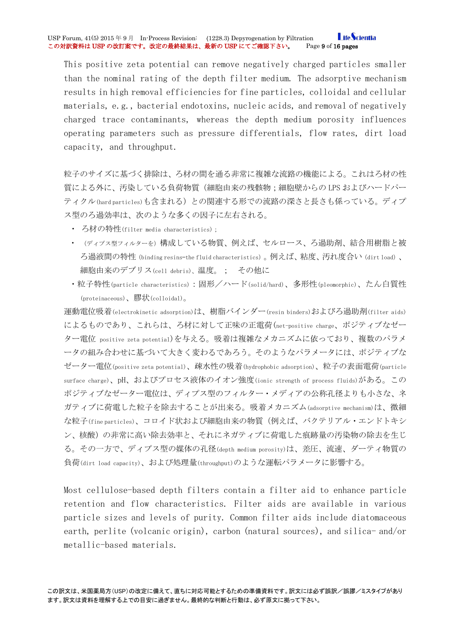#### **LifeScientia** USP Forum, 41(5) 2015 年 9 月 In-Process Revision: (1228.3) Depyrogenation by Filtration Life of Life of Life of<br>この対訳資料は USP の改訂案です。改定の最終結果は、最新の USP にてご確認下さい。 Page 9 of 16 pages この対訳資料は USP の改訂案です。改定の最終結果は、最新の USP にてご確認下さい。

This positive zeta potential can remove negatively charged particles smaller than the nominal rating of the depth filter medium. The adsorptive mechanism results in high removal efficiencies for fine particles, colloidal and cellular materials, e.g., bacterial endotoxins, nucleic acids, and removal of negatively charged trace contaminants, whereas the depth medium porosity influences operating parameters such as pressure differentials, flow rates, dirt load capacity, and throughput.

粒子のサイズに基づく排除は、ろ材の間を通る非常に複雑な流路の機能による。これはろ材の性 質による外に、汚染している負荷物質(細胞由来の残骸物;細胞壁からの LPS およびハードパー ティクル(hard particles)も含まれる)との関連する形での流路の深さと長さも係っている。ディプ ス型のろ過効率は、次のような多くの因子に左右される。

- ・ ろ材の特性(filter media characteristics);
- ・ (ディプス型フィルターを)構成している物質、例えば、セルロース、ろ過助剤、結合用樹脂と被 ろ過液間の特性(binding resins—the fluid characteristics)。例えば、粘度、汚れ度合い(dirt load)、 細胞由来のデブリス(cell debris)、温度。; その他に
- ・粒子特性(particle characteristics):固形/ハード(solid/hard)、多形性(pleomorphic)、たん白質性 (proteinaceous)、膠状(colloidal)。

運動電位吸着(electrokinetic adsorption)は、樹脂バインダー(resin binders)およびろ過助剤(filter aids) によるものであり、これらは、ろ材に対して正味の正電荷(net-positive charge、ポジティブなゼー ター電位 positive zeta potential)を与える。吸着は複雑なメカニズムに依っており、複数のパラメ ータの組み合わせに基づいて大きく変わるであろう。そのようなパラメータには、ポジティブな ゼーター電位(positive zeta potential)、疎水性の吸着(hydrophobic adsorption)、粒子の表面電荷(particle surface charge)、pH、およびプロセス液体のイオン強度(ionic strength of process fluids)がある。この ポジティブなゼーター電位は、ディプス型のフィルター・メディアの公称孔径よりも小さな、ネ ガティブに荷電した粒子を除去することが出来る。吸着メカニズム(adsorptive mechanism)は、微細 な粒子(fine particles)、コロイド状および細胞由来の物質(例えば、バクテリアル・エンドトキシ ン、核酸)の非常に高い除去効率と、それにネガティブに荷電した痕跡量の汚染物の除去を生じ る。その一方で、ディプス型の媒体の孔径(depth medium porosity)は、差圧、流速、ダーティ物質の 負荷(dirt load capacity)、および処理量(throughput)のような運転パラメータに影響する。

Most cellulose-based depth filters contain a filter aid to enhance particle retention and flow characteristics. Filter aids are available in various particle sizes and levels of purity. Common filter aids include diatomaceous earth, perlite (volcanic origin), carbon (natural sources), and silica- and/or metallic-based materials.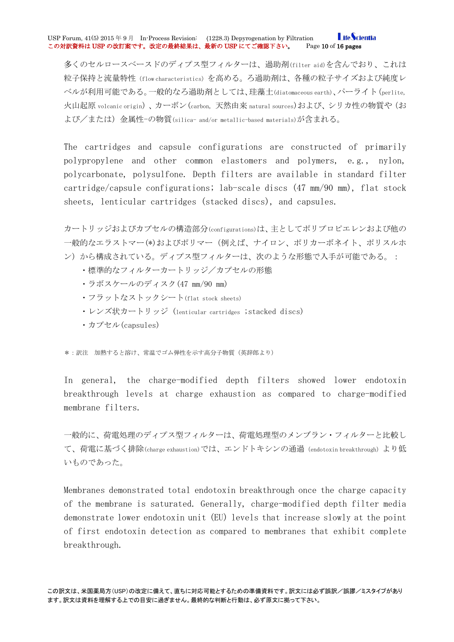多くのセルロースベースドのディプス型フィルターは、過助剤(filter aid)を含んでおり、これは 粒子保持と流量特性(flow characteristics)を高める。ろ過助剤は、各種の粒子サイズおよび純度レ ベルが利用可能である。一般的なろ過助剤としては、珪藻土(diatomaceous earth)、パーライト(perlite, 火山起原 volcanic origin)、カーボン(carbon, 天然由来 natural sources)および、シリカ性の物質や(お よび/または)金属性-の物質(silica- and/or metallic-based materials)が含まれる。

The cartridges and capsule configurations are constructed of primarily polypropylene and other common elastomers and polymers, e.g., nylon, polycarbonate, polysulfone. Depth filters are available in standard filter cartridge/capsule configurations; lab-scale discs (47 mm/90 mm), flat stock sheets, lenticular cartridges (stacked discs), and capsules.

カートリッジおよびカプセルの構造部分(configurations)は、主としてポリプロピエレンおよび他の 一般的なエラストマー(\*)およびポリマー(例えば、ナイロン、ポリカーボネイト、ポリスルホ ン)から構成されている。ディプス型フィルターは、次のような形態で入手が可能である。:

- ・標準的なフィルターカートリッジ/カプセルの形態
- ・ラボスケールのディスク(47 mm/90 mm)
- ・フラットなストックシート(flat stock sheets)
- ・レンズ状カートリッジ (lenticular cartridges ;stacked discs)
- ・カプセル(capsules)

\*:訳注 加熱すると溶け、常温でゴム弾性を示す高分子物質(英辞郎より)

In general, the charge-modified depth filters showed lower endotoxin breakthrough levels at charge exhaustion as compared to charge-modified membrane filters.

一般的に、荷電処理のディプス型フィルターは、荷電処理型のメンブラン・フィルターと比較し て、荷電に基づく排除(charge exhaustion)では、エンドトキシンの通過(endotoxin breakthrough)より低 いものであった。

Membranes demonstrated total endotoxin breakthrough once the charge capacity of the membrane is saturated. Generally, charge-modified depth filter media demonstrate lower endotoxin unit (EU) levels that increase slowly at the point of first endotoxin detection as compared to membranes that exhibit complete breakthrough.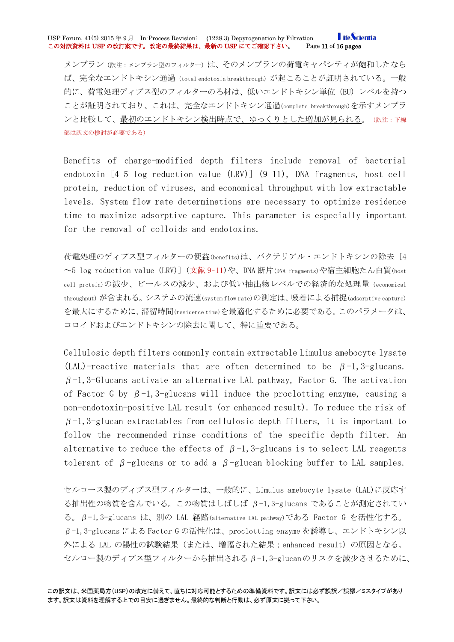メンブラン(訳注:メンブラン型のフィルター)は、そのメンブランの荷電キャパシティが飽和したなら ば、完全なエンドトキシン通過(total endotoxin breakthrough)が起こることが証明されている。一般 的に、荷電処理ディプス型のフィルターのろ材は、低いエンドトキシン単位 (EU) レベルを持つ ことが証明されており、これは、完全なエンドトキシン通過(complete breakthrough)を示すメンブラ ンと比較して、最初のエンドトキシン検出時点で、ゆっくりとした増加が見られる。(訳注:下線 部は訳文の検討が必要である)

Benefits of charge-modified depth filters include removal of bacterial endotoxin [4–5 log reduction value (LRV)] (9–11), DNA fragments, host cell protein, reduction of viruses, and economical throughput with low extractable levels. System flow rate determinations are necessary to optimize residence time to maximize adsorptive capture. This parameter is especially important for the removal of colloids and endotoxins.

荷電処理のディプス型フィルターの便益(benefits)は、バクテリアル・エンドトキシンの除去 [4 ~5 log reduction value (LRV)] (文献 9–11)や、DNA 断片(DNA fragments)や宿主細胞たん白質(host cell protein)の減少、ビールスの減少、および低い抽出物レベルでの経済的な処理量(economical throughput)が含まれる。システムの流速(system flow rate)の測定は、吸着による捕捉(adsorptive capture) を最大にするために、滞留時間(residence time)を最適化するために必要である。このパラメータは、 コロイドおよびエンドトキシンの除去に関して、特に重要である。

Cellulosic depth filters commonly contain extractable Limulus amebocyte lysate (LAL)-reactive materials that are often determined to be  $\beta$ -1,3-glucans.  $\beta$ -1,3-Glucans activate an alternative LAL pathway, Factor G. The activation of Factor G by  $\beta$ -1,3-glucans will induce the proclotting enzyme, causing a non-endotoxin-positive LAL result (or enhanced result). To reduce the risk of  $\beta$ -1,3-glucan extractables from cellulosic depth filters, it is important to follow the recommended rinse conditions of the specific depth filter. An alternative to reduce the effects of  $\beta$ -1,3-glucans is to select LAL reagents tolerant of  $\beta$ -glucans or to add a  $\beta$ -glucan blocking buffer to LAL samples.

セルロース製のディプス型フィルターは、一般的に、Limulus amebocyte lysate (LAL)に反応す る抽出性の物質を含んでいる。この物質はしばしば β-1,3-glucans であることが測定されてい る。β-1,3-glucans は、別の LAL 経路(alternative LAL pathway)である Factor G を活性化する。 β-1,3-glucans による Factor G の活性化は、proclotting enzyme を誘導し、エンドトキシン以 外による LAL の陽性の試験結果(または、増幅された結果;enhanced result)の原因となる。 セルロー製のディプス型フィルターから抽出されるβ-1,3-glucanのリスクを減少させるために、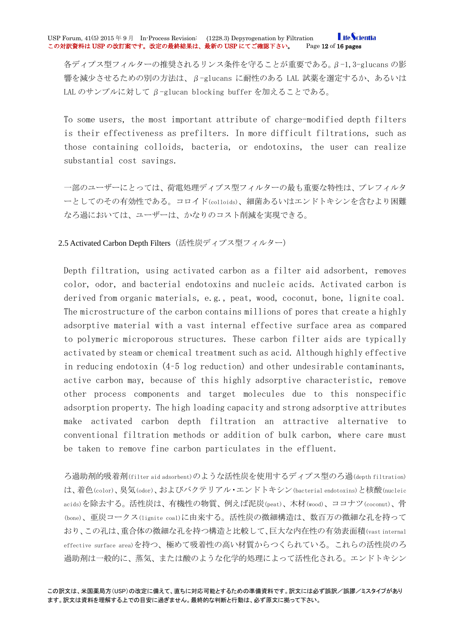各ディプス型フィルターの推奨されるリンス条件を守ることが重要である。β-1,3-glucans の影 響を減少させるための別の方法は、β-glucans に耐性のある LAL 試薬を選定するか、あるいは LAL のサンプルに対して β-glucan blocking buffer を加えることである。

To some users, the most important attribute of charge-modified depth filters is their effectiveness as prefilters. In more difficult filtrations, such as those containing colloids, bacteria, or endotoxins, the user can realize substantial cost savings.

一部のユーザーにとっては、荷電処理ディプス型フィルターの最も重要な特性は、プレフィルタ ーとしてのその有効性である。コロイド(colloids)、細菌あるいはエンドトキシンを含むより困難 なろ過においては、ユーザーは、かなりのコスト削減を実現できる。

### <span id="page-11-0"></span>2.5 Activated Carbon Depth Filters (活性炭ディプス型フィルター)

Depth filtration, using activated carbon as a filter aid adsorbent, removes color, odor, and bacterial endotoxins and nucleic acids. Activated carbon is derived from organic materials, e.g., peat, wood, coconut, bone, lignite coal. The microstructure of the carbon contains millions of pores that create a highly adsorptive material with a vast internal effective surface area as compared to polymeric microporous structures. These carbon filter aids are typically activated by steam or chemical treatment such as acid. Although highly effective in reducing endotoxin (4–5 log reduction) and other undesirable contaminants, active carbon may, because of this highly adsorptive characteristic, remove other process components and target molecules due to this nonspecific adsorption property. The high loading capacity and strong adsorptive attributes make activated carbon depth filtration an attractive alternative to conventional filtration methods or addition of bulk carbon, where care must be taken to remove fine carbon particulates in the effluent.

ろ過助剤的吸着剤(filter aid adsorbent)のような活性炭を使用するディプス型のろ過(depth filtration) は、着色(color)、臭気(odor)、およびバクテリアル・エンドトキシン(bacterial endotoxins)と核酸(nucleic acids)を除去する。活性炭は、有機性の物質、例えば泥炭(peat)、木材(wood)、ココナツ(coconut)、骨 (bone)、亜炭コークス(lignite coal)に由来する。活性炭の微細構造は、数百万の微細な孔を持って おり、この孔は、重合体の微細な孔を持つ構造と比較して、巨大な内在性の有効表面積(vast internal effective surface area)を持つ、極めて吸着性の高い材質からつくられている。これらの活性炭のろ 過助剤は一般的に、蒸気、または酸のような化学的処理によって活性化される。エンドトキシン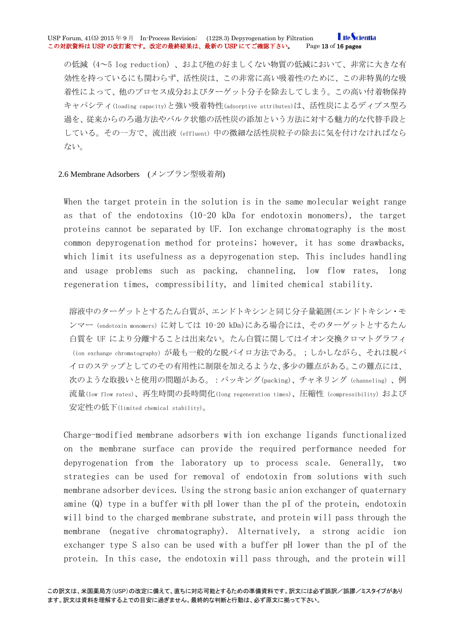の低減(4~5 log reduction)、および他の好ましくない物質の低減において、非常に大きな有 効性を持っているにも関わらず、活性炭は、この非常に高い吸着性のために、この非特異的な吸 着性によって、他のプロセス成分およびターゲット分子を除去してしまう。この高い付着物保持 キャパシティ(loading capacity)と強い吸着特性(adsorptive attributes)は、活性炭によるディプス型ろ 過を、従来からのろ過方法やバルク状態の活性炭の添加という方法に対する魅力的な代替手段と している。その一方で、流出液 (effluent)中の微細な活性炭粒子の除去に気を付けなければなら ない。

### <span id="page-12-0"></span>2.6 Membrane Adsorbers (メンブラン型吸着剤)

When the target protein in the solution is in the same molecular weight range as that of the endotoxins (10–20 kDa for endotoxin monomers), the target proteins cannot be separated by UF. Ion exchange chromatography is the most common depyrogenation method for proteins; however, it has some drawbacks, which limit its usefulness as a depyrogenation step. This includes handling and usage problems such as packing, channeling, low flow rates, long regeneration times, compressibility, and limited chemical stability.

溶液中のターゲットとするたん白質が、エンドトキシンと同じ分子量範囲(エンドトキシン・モ ンマー(endotoxin monomers)に対しては 10–20 kDa)にある場合には、そのターゲットとするたん 白質を UF により分離することは出来ない。たん白質に関してはイオン交換クロマトグラフィ (ion exchange chromatography)が最も一般的な脱パイロ方法である。;しかしながら、それは脱パ イロのステップとしてのその有用性に制限を加えるような、多少の難点がある。この難点には、 次のような取扱いと使用の問題がある。:パッキング(packing)、チャネリング(channeling)、例 流量(low flow rates)、再生時間の長時間化(long regeneration times)、圧縮性 (compressibility) および 安定性の低下(limited chemical stability)。

Charge-modified membrane adsorbers with ion exchange ligands functionalized on the membrane surface can provide the required performance needed for depyrogenation from the laboratory up to process scale. Generally, two strategies can be used for removal of endotoxin from solutions with such membrane adsorber devices. Using the strong basic anion exchanger of quaternary amine (Q) type in a buffer with pH lower than the pI of the protein, endotoxin will bind to the charged membrane substrate, and protein will pass through the membrane (negative chromatography). Alternatively, a strong acidic ion exchanger type S also can be used with a buffer pH lower than the pI of the protein. In this case, the endotoxin will pass through, and the protein will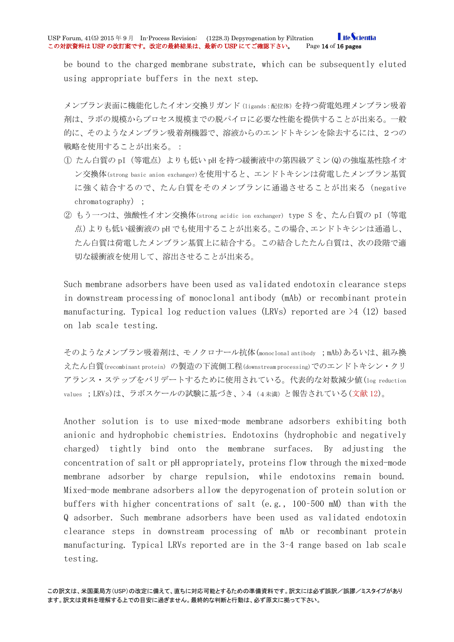**LifeScientia** USP Forum, 41(5) 2015年9月 In-Process Revision: (1228.3) Depyrogenation by Filtration Life Ocin<br>この対訳資料は USP の改訂案です。改定の最終結果は、最新の USP にてご確認下さい。 Page 14 of 16 pages この対訳資料は USP の改訂案です。改定の最終結果は、最新の USP にてご確認下さい。

be bound to the charged membrane substrate, which can be subsequently eluted using appropriate buffers in the next step.

メンブラン表面に機能化したイオン交換リガンド(ligands:配位体)を持つ荷電処理メンブラン吸着 剤は、ラボの規模からプロセス規模までの脱パイロに必要な性能を提供することが出来る。一般 的に、そのようなメンブラン吸着剤機器で、溶液からのエンドトキシンを除去するには、2つの 戦略を使用することが出来る。:

- ① たん白質の pI(等電点)よりも低い pH を持つ緩衝液中の第四級アミン(Q)の強塩基性陰イオ ン交換体(strong basic anion exchanger)を使用すると、エンドトキシンは荷電したメンブラン基質 に強く結合するので、たん白質をそのメンブランに通過させることが出来る(negative chromatography) ;
- ② もう一つは、強酸性イオン交換体(strong acidic ion exchanger) type S を、たん白質の pI(等電 点)よりも低い緩衝液の pH でも使用することが出来る。この場合、エンドトキシンは通過し、 たん白質は荷電したメンブラン基質上に結合する。この結合したたん白質は、次の段階で適 切な緩衝液を使用して、溶出させることが出来る。

Such membrane adsorbers have been used as validated endotoxin clearance steps in downstream processing of monoclonal antibody (mAb) or recombinant protein manufacturing. Typical log reduction values (LRVs) reported are  $\geq 4$  (12) based on lab scale testing.

そのようなメンブラン吸着剤は、モノクロナール抗体(monoclonal antibody ;mAb)あるいは、組み換 えたん白質(recombinant protein) の製造の下流側工程(downstream processing)でのエンドトキシン・クリ アランス・ステップをバリデートするために使用されている。代表的な対数減少値(log reduction values ; LRVs)は、ラボスケールの試験に基づき、>4 (4未満)と報告されている(文献 12)。

Another solution is to use mixed-mode membrane adsorbers exhibiting both anionic and hydrophobic chemistries. Endotoxins (hydrophobic and negatively charged) tightly bind onto the membrane surfaces. By adjusting the concentration of salt or pH appropriately, proteins flow through the mixed-mode membrane adsorber by charge repulsion, while endotoxins remain bound. Mixed-mode membrane adsorbers allow the depyrogenation of protein solution or buffers with higher concentrations of salt (e.g., 100–500 mM) than with the Q adsorber. Such membrane adsorbers have been used as validated endotoxin clearance steps in downstream processing of mAb or recombinant protein manufacturing. Typical LRVs reported are in the 3–4 range based on lab scale testing.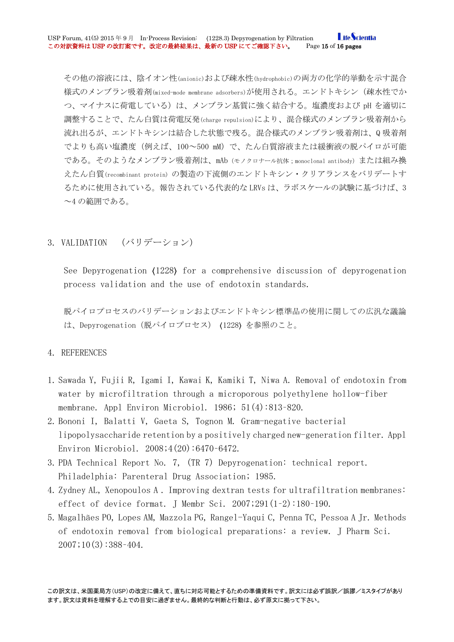その他の溶液には、陰イオン性(anionic)および疎水性(hydrophobic)の両方の化学的挙動を示す混合 様式のメンブラン吸着剤(mixed-mode membrane adsorbers)が使用される。エンドトキシン(疎水性でか つ、マイナスに荷電している)は、メンブラン基質に強く結合する。塩濃度および pH を適切に 調整することで、たん白質は荷電反発(charge repulsion)により、混合様式のメンブラン吸着剤から 流れ出るが、エンドトキシンは結合した状態で残る。混合様式のメンブラン吸着剤は、Q 吸着剤 でよりも高い塩濃度(例えば、100~500 mM)で、たん白質溶液または緩衝液の脱パイロが可能 である。そのようなメンブラン吸着剤は、mAb(モノクロナール抗体;monoclonal antibody)または組み換 えたん白質(recombinant protein) の製造の下流側のエンドトキシン・クリアランスをバリデートす るために使用されている。報告されている代表的な LRVs は、ラボスケールの試験に基づけば、3 ~4 の範囲である。

### <span id="page-14-0"></span>3. VALIDATION (バリデーション)

See Depyrogenation 〈1228〉 for a comprehensive discussion of depyrogenation process validation and the use of endotoxin standards.

脱パイロプロセスのバリデーションおよびエンドトキシン標準品の使用に関しての広汎な議論 は、Depyrogenation(脱パイロプロセス) 〈1228〉 を参照のこと。

### 4. REFERENCES

- 1. Sawada Y, Fujii R, Igami I, Kawai K, Kamiki T, Niwa A. Removal of endotoxin from water by microfiltration through a microporous polyethylene hollow-fiber membrane. Appl Environ Microbiol. 1986; 51(4):813–820.
- 2. Bononi I, Balatti V, Gaeta S, Tognon M. Gram-negative bacterial lipopolysaccharide retention by a positively charged new-generation filter. Appl Environ Microbiol. 2008;4(20):6470–6472.
- 3. PDA Technical Report No. 7, (TR 7) Depyrogenation: technical report. Philadelphia: Parenteral Drug Association; 1985.
- 4. Zydney AL, Xenopoulos A . Improving dextran tests for ultrafiltration membranes: effect of device format. J Membr Sci. 2007;291(1–2):180–190.
- 5. Magalhães PO, Lopes AM, Mazzola PG, Rangel-Yaqui C, Penna TC, Pessoa A Jr. Methods of endotoxin removal from biological preparations: a review. J Pharm Sci.  $2007$ ; 10(3): 388-404.